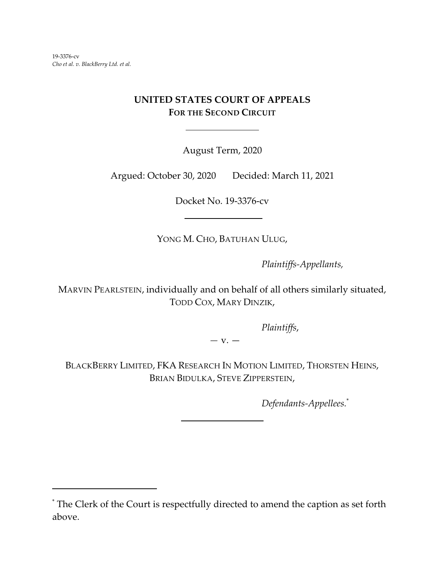# **UNITED STATES COURT OF APPEALS FOR THE SECOND CIRCUIT**

 $\overline{a}$ 

August Term, 2020

Argued: October 30, 2020 Decided: March 11, 2021

Docket No. 19-3376-cv

YONG M. CHO, BATUHAN ULUG,

*Plaintiffs-Appellants,*

MARVIN PEARLSTEIN, individually and on behalf of all others similarly situated, TODD COX, MARY DINZIK,

*Plaintiffs*,

*—* v. —

BLACKBERRY LIMITED, FKA RESEARCH IN MOTION LIMITED, THORSTEN HEINS, BRIAN BIDULKA, STEVE ZIPPERSTEIN,

 $\overline{a}$ 

*Defendants-Appellees.*\*

<sup>\*</sup> The Clerk of the Court is respectfully directed to amend the caption as set forth above.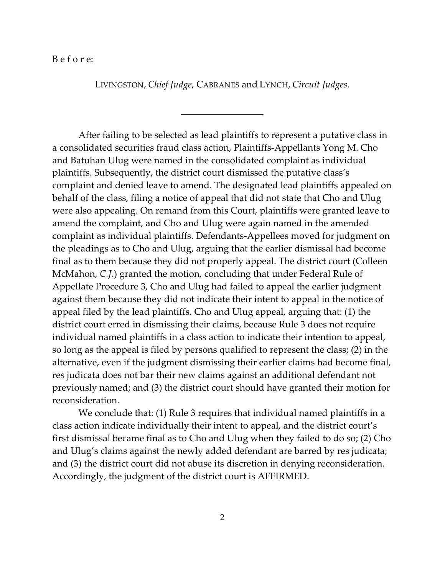## B e f o r e:

LIVINGSTON, *Chief Judge*, CABRANES and LYNCH, *Circuit Judges*.

 $\overline{a}$ 

After failing to be selected as lead plaintiffs to represent a putative class in a consolidated securities fraud class action, Plaintiffs-Appellants Yong M. Cho and Batuhan Ulug were named in the consolidated complaint as individual plaintiffs. Subsequently, the district court dismissed the putative class's complaint and denied leave to amend. The designated lead plaintiffs appealed on behalf of the class, filing a notice of appeal that did not state that Cho and Ulug were also appealing. On remand from this Court, plaintiffs were granted leave to amend the complaint, and Cho and Ulug were again named in the amended complaint as individual plaintiffs. Defendants-Appellees moved for judgment on the pleadings as to Cho and Ulug, arguing that the earlier dismissal had become final as to them because they did not properly appeal. The district court (Colleen McMahon, *C.J*.) granted the motion, concluding that under Federal Rule of Appellate Procedure 3, Cho and Ulug had failed to appeal the earlier judgment against them because they did not indicate their intent to appeal in the notice of appeal filed by the lead plaintiffs. Cho and Ulug appeal, arguing that: (1) the district court erred in dismissing their claims, because Rule 3 does not require individual named plaintiffs in a class action to indicate their intention to appeal, so long as the appeal is filed by persons qualified to represent the class; (2) in the alternative, even if the judgment dismissing their earlier claims had become final, res judicata does not bar their new claims against an additional defendant not previously named; and (3) the district court should have granted their motion for reconsideration.

We conclude that: (1) Rule 3 requires that individual named plaintiffs in a class action indicate individually their intent to appeal, and the district court's first dismissal became final as to Cho and Ulug when they failed to do so; (2) Cho and Ulug's claims against the newly added defendant are barred by res judicata; and (3) the district court did not abuse its discretion in denying reconsideration. Accordingly, the judgment of the district court is AFFIRMED.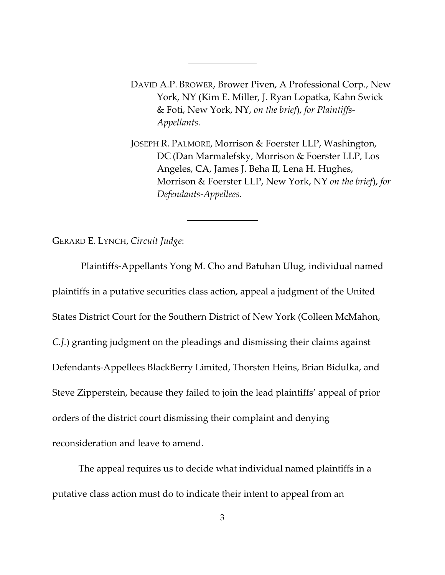DAVID A.P. BROWER, Brower Piven, A Professional Corp., New York, NY (Kim E. Miller, J. Ryan Lopatka, Kahn Swick & Foti, New York, NY, *on the brief*), *for Plaintiffs-Appellants.*

 $\overline{a}$ 

 $\overline{a}$ 

JOSEPH R. PALMORE, Morrison & Foerster LLP, Washington, DC (Dan Marmalefsky, Morrison & Foerster LLP, Los Angeles, CA, James J. Beha II, Lena H. Hughes, Morrison & Foerster LLP, New York, NY *on the brief*), *for Defendants-Appellees.*

GERARD E. LYNCH, *Circuit Judge*:

 Plaintiffs-Appellants Yong M. Cho and Batuhan Ulug, individual named plaintiffs in a putative securities class action, appeal a judgment of the United States District Court for the Southern District of New York (Colleen McMahon, *C.J.*) granting judgment on the pleadings and dismissing their claims against Defendants-Appellees BlackBerry Limited, Thorsten Heins, Brian Bidulka, and Steve Zipperstein, because they failed to join the lead plaintiffs' appeal of prior orders of the district court dismissing their complaint and denying reconsideration and leave to amend.

The appeal requires us to decide what individual named plaintiffs in a putative class action must do to indicate their intent to appeal from an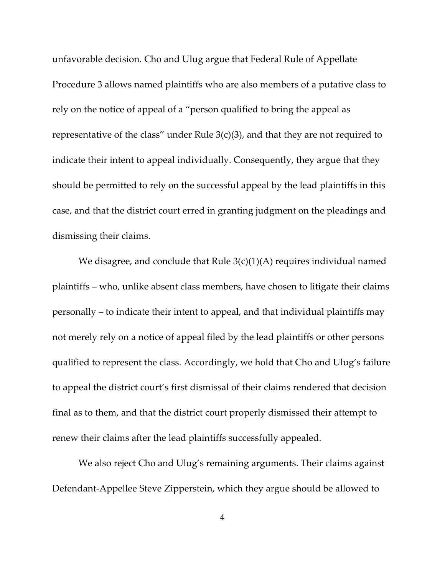unfavorable decision. Cho and Ulug argue that Federal Rule of Appellate Procedure 3 allows named plaintiffs who are also members of a putative class to rely on the notice of appeal of a "person qualified to bring the appeal as representative of the class" under Rule  $3(c)(3)$ , and that they are not required to indicate their intent to appeal individually. Consequently, they argue that they should be permitted to rely on the successful appeal by the lead plaintiffs in this case, and that the district court erred in granting judgment on the pleadings and dismissing their claims.

We disagree, and conclude that Rule  $3(c)(1)(A)$  requires individual named plaintiffs – who, unlike absent class members, have chosen to litigate their claims personally – to indicate their intent to appeal, and that individual plaintiffs may not merely rely on a notice of appeal filed by the lead plaintiffs or other persons qualified to represent the class. Accordingly, we hold that Cho and Ulug's failure to appeal the district court's first dismissal of their claims rendered that decision final as to them, and that the district court properly dismissed their attempt to renew their claims after the lead plaintiffs successfully appealed.

We also reject Cho and Ulug's remaining arguments. Their claims against Defendant-Appellee Steve Zipperstein, which they argue should be allowed to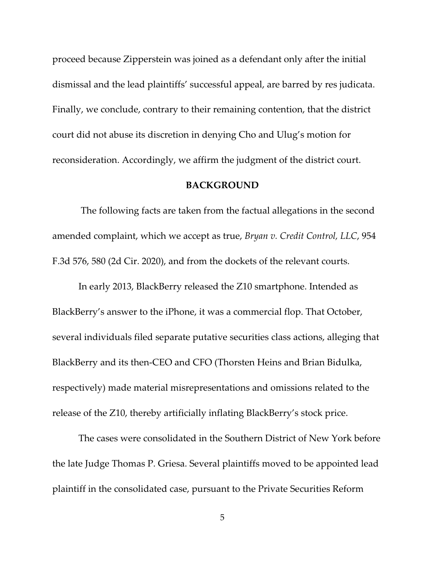proceed because Zipperstein was joined as a defendant only after the initial dismissal and the lead plaintiffs' successful appeal, are barred by res judicata. Finally, we conclude, contrary to their remaining contention, that the district court did not abuse its discretion in denying Cho and Ulug's motion for reconsideration. Accordingly, we affirm the judgment of the district court.

## **BACKGROUND**

 The following facts are taken from the factual allegations in the second amended complaint, which we accept as true, *Bryan v. Credit Control, LLC*, 954 F.3d 576, 580 (2d Cir. 2020), and from the dockets of the relevant courts.

In early 2013, BlackBerry released the Z10 smartphone. Intended as BlackBerry's answer to the iPhone, it was a commercial flop. That October, several individuals filed separate putative securities class actions, alleging that BlackBerry and its then-CEO and CFO (Thorsten Heins and Brian Bidulka, respectively) made material misrepresentations and omissions related to the release of the Z10, thereby artificially inflating BlackBerry's stock price.

The cases were consolidated in the Southern District of New York before the late Judge Thomas P. Griesa. Several plaintiffs moved to be appointed lead plaintiff in the consolidated case, pursuant to the Private Securities Reform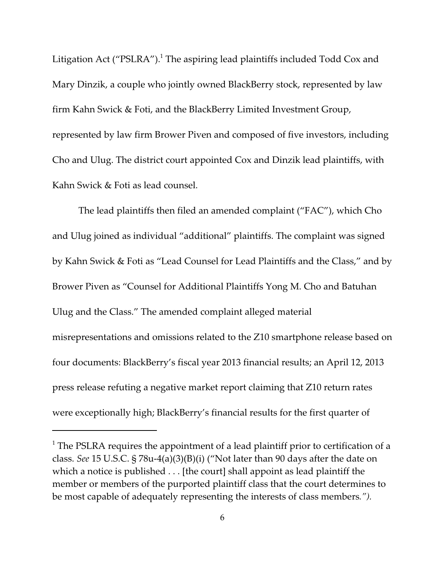Litigation Act (" $PSLRA$ ").<sup>1</sup> The aspiring lead plaintiffs included Todd Cox and Mary Dinzik, a couple who jointly owned BlackBerry stock, represented by law firm Kahn Swick & Foti, and the BlackBerry Limited Investment Group, represented by law firm Brower Piven and composed of five investors, including Cho and Ulug. The district court appointed Cox and Dinzik lead plaintiffs, with Kahn Swick & Foti as lead counsel.

The lead plaintiffs then filed an amended complaint ("FAC"), which Cho and Ulug joined as individual "additional" plaintiffs. The complaint was signed by Kahn Swick & Foti as "Lead Counsel for Lead Plaintiffs and the Class," and by Brower Piven as "Counsel for Additional Plaintiffs Yong M. Cho and Batuhan Ulug and the Class." The amended complaint alleged material misrepresentations and omissions related to the Z10 smartphone release based on four documents: BlackBerry's fiscal year 2013 financial results; an April 12, 2013 press release refuting a negative market report claiming that Z10 return rates were exceptionally high; BlackBerry's financial results for the first quarter of

 $^1$  The PSLRA requires the appointment of a lead plaintiff prior to certification of a class. *See* 15 U.S.C. § 78u-4(a)(3)(B)(i) ("Not later than 90 days after the date on which a notice is published . . . [the court] shall appoint as lead plaintiff the member or members of the purported plaintiff class that the court determines to be most capable of adequately representing the interests of class members*.").*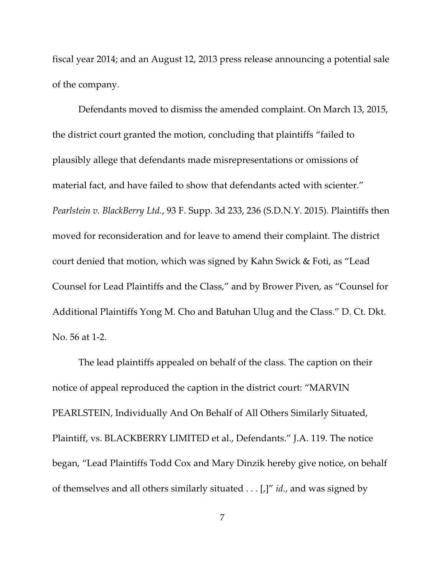fiscal year 2014; and an August 12, 2013 press release announcing a potential sale of the company.

Defendants moved to dismiss the amended complaint. On March 13, 2015, the district court granted the motion, concluding that plaintiffs "failed to plausibly allege that defendants made misrepresentations or omissions of material fact, and have failed to show that defendants acted with scienter." *Pearlstein v. BlackBerry Ltd.*, 93 F. Supp. 3d 233, 236 (S.D.N.Y. 2015). Plaintiffs then moved for reconsideration and for leave to amend their complaint. The district court denied that motion, which was signed by Kahn Swick & Foti, as "Lead Counsel for Lead Plaintiffs and the Class," and by Brower Piven, as "Counsel for Additional Plaintiffs Yong M. Cho and Batuhan Ulug and the Class." D. Ct. Dkt. No. 56 at 1-2.

The lead plaintiffs appealed on behalf of the class. The caption on their notice of appeal reproduced the caption in the district court: "MARVIN PEARLSTEIN, Individually And On Behalf of All Others Similarly Situated, Plaintiff, vs. BLACKBERRY LIMITED et al., Defendants." J.A. 119. The notice began, "Lead Plaintiffs Todd Cox and Mary Dinzik hereby give notice, on behalf of themselves and all others similarly situated . . . [,]" *id.*, and was signed by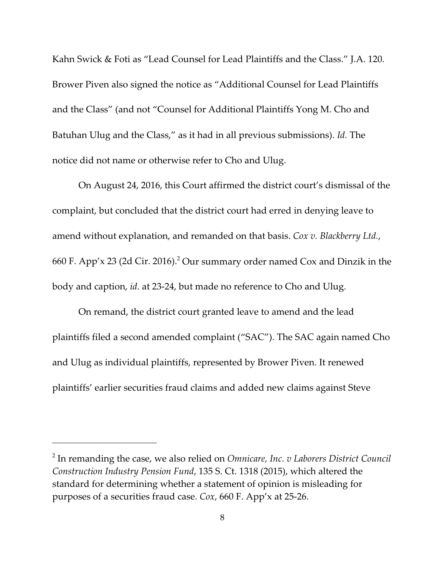Kahn Swick & Foti as "Lead Counsel for Lead Plaintiffs and the Class." J.A. 120. Brower Piven also signed the notice as "Additional Counsel for Lead Plaintiffs and the Class" (and not "Counsel for Additional Plaintiffs Yong M. Cho and Batuhan Ulug and the Class," as it had in all previous submissions). *Id.* The notice did not name or otherwise refer to Cho and Ulug.

On August 24, 2016, this Court affirmed the district court's dismissal of the complaint, but concluded that the district court had erred in denying leave to amend without explanation, and remanded on that basis. *Cox v. Blackberry Ltd.*, 660 F. App'x 23 (2d Cir. 2016). $^2$  Our summary order named Cox and Dinzik in the body and caption, *id*. at 23-24, but made no reference to Cho and Ulug.

On remand, the district court granted leave to amend and the lead plaintiffs filed a second amended complaint ("SAC"). The SAC again named Cho and Ulug as individual plaintiffs, represented by Brower Piven. It renewed plaintiffs' earlier securities fraud claims and added new claims against Steve

<sup>2</sup> In remanding the case, we also relied on *Omnicare, Inc. v Laborers District Council Construction Industry Pension Fund*, 135 S. Ct. 1318 (2015), which altered the standard for determining whether a statement of opinion is misleading for purposes of a securities fraud case. *Cox*, 660 F. App'x at 25-26.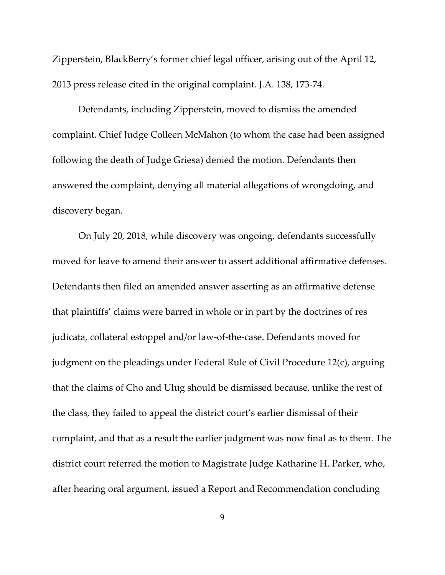Zipperstein, BlackBerry's former chief legal officer, arising out of the April 12, 2013 press release cited in the original complaint. J.A. 138, 173-74.

Defendants, including Zipperstein, moved to dismiss the amended complaint. Chief Judge Colleen McMahon (to whom the case had been assigned following the death of Judge Griesa) denied the motion. Defendants then answered the complaint, denying all material allegations of wrongdoing, and discovery began.

On July 20, 2018, while discovery was ongoing, defendants successfully moved for leave to amend their answer to assert additional affirmative defenses. Defendants then filed an amended answer asserting as an affirmative defense that plaintiffs' claims were barred in whole or in part by the doctrines of res judicata, collateral estoppel and/or law-of-the-case. Defendants moved for judgment on the pleadings under Federal Rule of Civil Procedure 12(c), arguing that the claims of Cho and Ulug should be dismissed because, unlike the rest of the class, they failed to appeal the district court's earlier dismissal of their complaint, and that as a result the earlier judgment was now final as to them. The district court referred the motion to Magistrate Judge Katharine H. Parker, who, after hearing oral argument, issued a Report and Recommendation concluding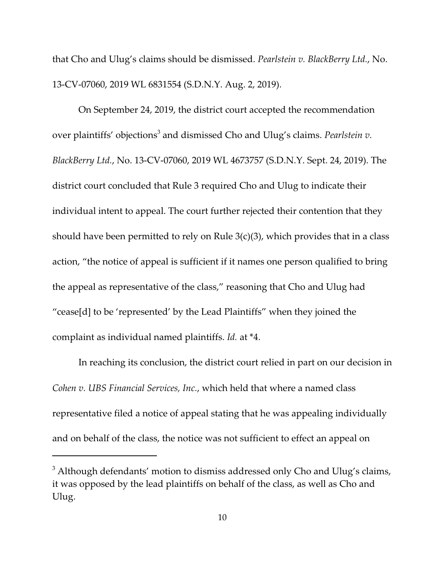that Cho and Ulug's claims should be dismissed. *Pearlstein v. BlackBerry Ltd.*, No. 13-CV-07060, 2019 WL 6831554 (S.D.N.Y. Aug. 2, 2019).

On September 24, 2019, the district court accepted the recommendation over plaintiffs' objections<sup>3</sup> and dismissed Cho and Ulug's claims. *Pearlstein v. BlackBerry Ltd.*, No. 13-CV-07060, 2019 WL 4673757 (S.D.N.Y. Sept. 24, 2019). The district court concluded that Rule 3 required Cho and Ulug to indicate their individual intent to appeal. The court further rejected their contention that they should have been permitted to rely on Rule  $3(c)(3)$ , which provides that in a class action, "the notice of appeal is sufficient if it names one person qualified to bring the appeal as representative of the class," reasoning that Cho and Ulug had "cease[d] to be 'represented' by the Lead Plaintiffs" when they joined the complaint as individual named plaintiffs. *Id.* at \*4.

In reaching its conclusion, the district court relied in part on our decision in *Cohen v. UBS Financial Services, Inc.*, which held that where a named class representative filed a notice of appeal stating that he was appealing individually and on behalf of the class, the notice was not sufficient to effect an appeal on

 $^3$  Although defendants' motion to dismiss addressed only Cho and Ulug's claims, it was opposed by the lead plaintiffs on behalf of the class, as well as Cho and Ulug.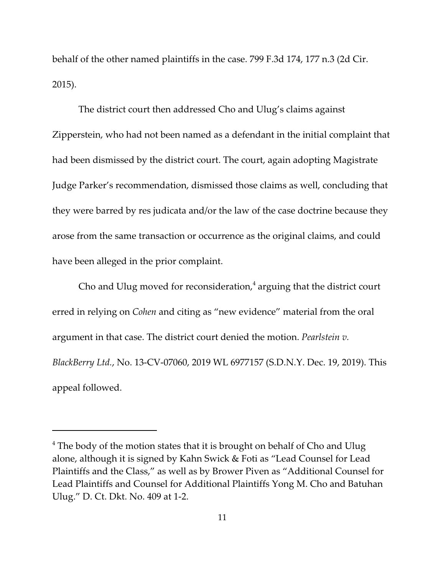behalf of the other named plaintiffs in the case. 799 F.3d 174, 177 n.3 (2d Cir. 2015).

The district court then addressed Cho and Ulug's claims against Zipperstein, who had not been named as a defendant in the initial complaint that had been dismissed by the district court. The court, again adopting Magistrate Judge Parker's recommendation, dismissed those claims as well, concluding that they were barred by res judicata and/or the law of the case doctrine because they arose from the same transaction or occurrence as the original claims, and could have been alleged in the prior complaint.

Cho and Ulug moved for reconsideration, $^4$  arguing that the district court erred in relying on *Cohen* and citing as "new evidence" material from the oral argument in that case. The district court denied the motion. *Pearlstein v. BlackBerry Ltd.*, No. 13-CV-07060, 2019 WL 6977157 (S.D.N.Y. Dec. 19, 2019). This appeal followed.

 $^4$  The body of the motion states that it is brought on behalf of Cho and Ulug alone, although it is signed by Kahn Swick & Foti as "Lead Counsel for Lead Plaintiffs and the Class," as well as by Brower Piven as "Additional Counsel for Lead Plaintiffs and Counsel for Additional Plaintiffs Yong M. Cho and Batuhan Ulug." D. Ct. Dkt. No. 409 at 1-2.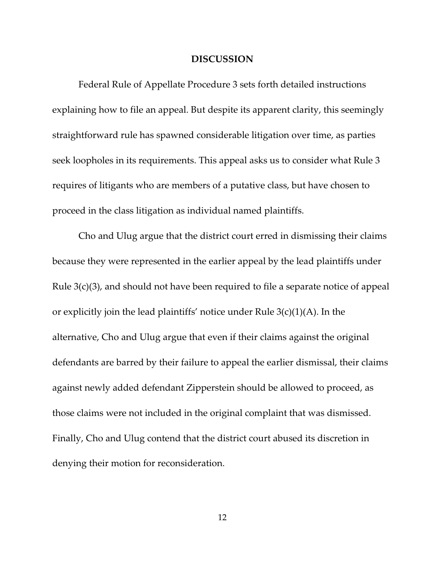#### **DISCUSSION**

Federal Rule of Appellate Procedure 3 sets forth detailed instructions explaining how to file an appeal. But despite its apparent clarity, this seemingly straightforward rule has spawned considerable litigation over time, as parties seek loopholes in its requirements. This appeal asks us to consider what Rule 3 requires of litigants who are members of a putative class, but have chosen to proceed in the class litigation as individual named plaintiffs.

Cho and Ulug argue that the district court erred in dismissing their claims because they were represented in the earlier appeal by the lead plaintiffs under Rule 3(c)(3), and should not have been required to file a separate notice of appeal or explicitly join the lead plaintiffs' notice under Rule 3(c)(1)(A). In the alternative, Cho and Ulug argue that even if their claims against the original defendants are barred by their failure to appeal the earlier dismissal, their claims against newly added defendant Zipperstein should be allowed to proceed, as those claims were not included in the original complaint that was dismissed. Finally, Cho and Ulug contend that the district court abused its discretion in denying their motion for reconsideration.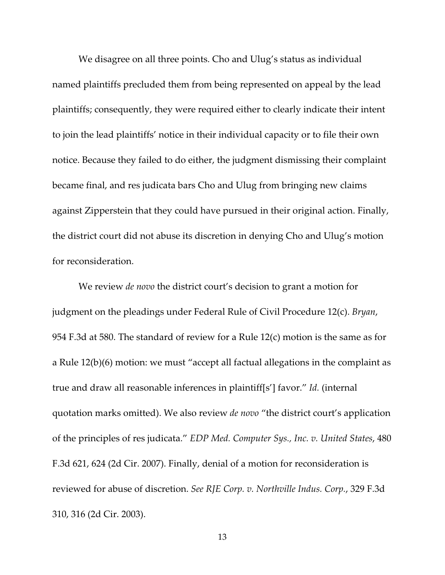We disagree on all three points. Cho and Ulug's status as individual named plaintiffs precluded them from being represented on appeal by the lead plaintiffs; consequently, they were required either to clearly indicate their intent to join the lead plaintiffs' notice in their individual capacity or to file their own notice. Because they failed to do either, the judgment dismissing their complaint became final, and res judicata bars Cho and Ulug from bringing new claims against Zipperstein that they could have pursued in their original action. Finally, the district court did not abuse its discretion in denying Cho and Ulug's motion for reconsideration.

We review *de novo* the district court's decision to grant a motion for judgment on the pleadings under Federal Rule of Civil Procedure 12(c). *Bryan*, 954 F.3d at 580. The standard of review for a Rule 12(c) motion is the same as for a Rule 12(b)(6) motion: we must "accept all factual allegations in the complaint as true and draw all reasonable inferences in plaintiff[s'] favor." *Id.* (internal quotation marks omitted). We also review *de novo* "the district court's application of the principles of res judicata." *EDP Med. Computer Sys., Inc. v. United States*, 480 F.3d 621, 624 (2d Cir. 2007). Finally, denial of a motion for reconsideration is reviewed for abuse of discretion. *See RJE Corp. v. Northville Indus. Corp.*, 329 F.3d 310, 316 (2d Cir. 2003).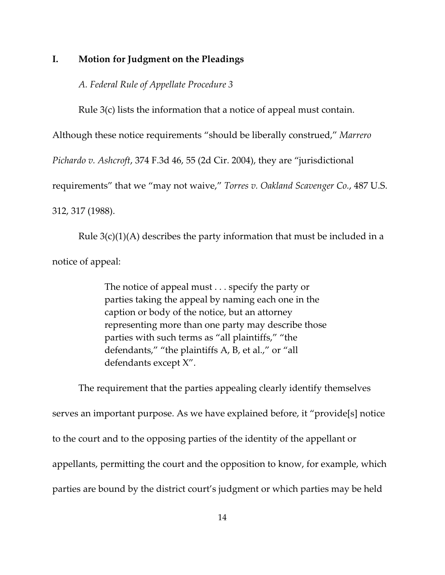# **I. Motion for Judgment on the Pleadings**

*A. Federal Rule of Appellate Procedure 3*

Rule 3(c) lists the information that a notice of appeal must contain.

Although these notice requirements "should be liberally construed," *Marrero*

*Pichardo v. Ashcroft*, 374 F.3d 46, 55 (2d Cir. 2004), they are "jurisdictional

requirements" that we "may not waive," *Torres v. Oakland Scavenger Co.*, 487 U.S.

312, 317 (1988).

Rule  $3(c)(1)(A)$  describes the party information that must be included in a notice of appeal:

> The notice of appeal must . . . specify the party or parties taking the appeal by naming each one in the caption or body of the notice, but an attorney representing more than one party may describe those parties with such terms as "all plaintiffs," "the defendants," "the plaintiffs A, B, et al.," or "all defendants except X".

The requirement that the parties appealing clearly identify themselves serves an important purpose. As we have explained before, it "provide[s] notice to the court and to the opposing parties of the identity of the appellant or appellants, permitting the court and the opposition to know, for example, which parties are bound by the district court's judgment or which parties may be held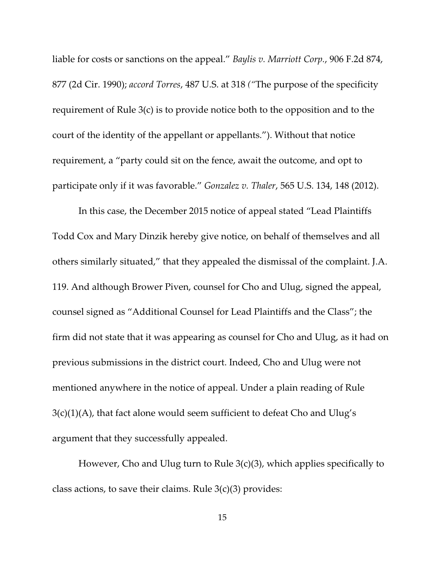liable for costs or sanctions on the appeal." *Baylis v. Marriott Corp.*, 906 F.2d 874, 877 (2d Cir. 1990); *accord Torres*, 487 U.S. at 318 *("*The purpose of the specificity requirement of Rule 3(c) is to provide notice both to the opposition and to the court of the identity of the appellant or appellants."). Without that notice requirement, a "party could sit on the fence, await the outcome, and opt to participate only if it was favorable." *Gonzalez v. Thaler*, 565 U.S. 134, 148 (2012).

In this case, the December 2015 notice of appeal stated "Lead Plaintiffs Todd Cox and Mary Dinzik hereby give notice, on behalf of themselves and all others similarly situated," that they appealed the dismissal of the complaint. J.A. 119. And although Brower Piven, counsel for Cho and Ulug, signed the appeal, counsel signed as "Additional Counsel for Lead Plaintiffs and the Class"; the firm did not state that it was appearing as counsel for Cho and Ulug, as it had on previous submissions in the district court. Indeed, Cho and Ulug were not mentioned anywhere in the notice of appeal. Under a plain reading of Rule  $3(c)(1)(A)$ , that fact alone would seem sufficient to defeat Cho and Ulug's argument that they successfully appealed.

However, Cho and Ulug turn to Rule 3(c)(3), which applies specifically to class actions, to save their claims. Rule  $3(c)(3)$  provides: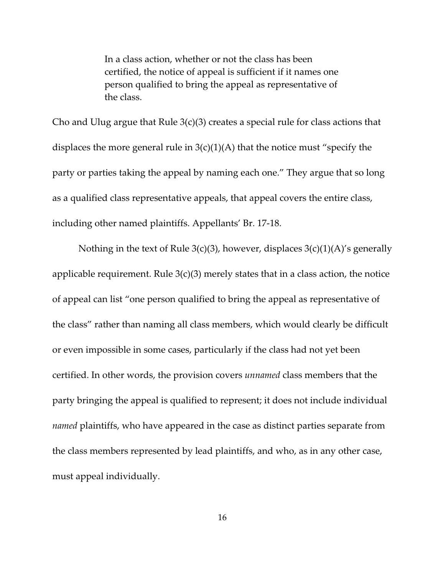In a class action, whether or not the class has been certified, the notice of appeal is sufficient if it names one person qualified to bring the appeal as representative of the class.

Cho and Ulug argue that Rule  $3(c)(3)$  creates a special rule for class actions that displaces the more general rule in  $3(c)(1)(A)$  that the notice must "specify the party or parties taking the appeal by naming each one." They argue that so long as a qualified class representative appeals, that appeal covers the entire class, including other named plaintiffs. Appellants' Br. 17-18.

Nothing in the text of Rule 3(c)(3), however, displaces  $3(c)(1)(A)$ 's generally applicable requirement. Rule  $3(c)(3)$  merely states that in a class action, the notice of appeal can list "one person qualified to bring the appeal as representative of the class" rather than naming all class members, which would clearly be difficult or even impossible in some cases, particularly if the class had not yet been certified. In other words, the provision covers *unnamed* class members that the party bringing the appeal is qualified to represent; it does not include individual *named* plaintiffs, who have appeared in the case as distinct parties separate from the class members represented by lead plaintiffs, and who, as in any other case, must appeal individually.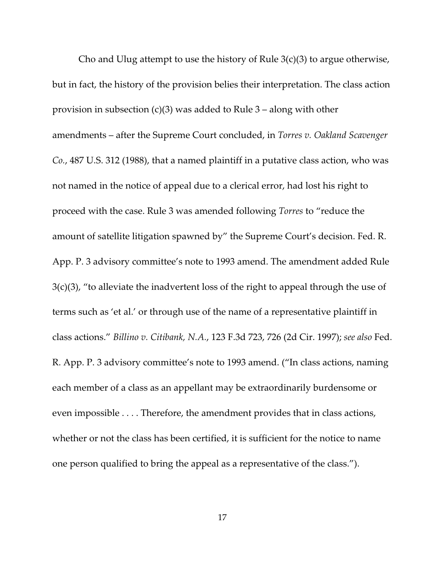Cho and Ulug attempt to use the history of Rule  $3(c)(3)$  to argue otherwise, but in fact, the history of the provision belies their interpretation. The class action provision in subsection (c)(3) was added to Rule 3 – along with other amendments – after the Supreme Court concluded, in *Torres v. Oakland Scavenger Co.*, 487 U.S. 312 (1988), that a named plaintiff in a putative class action, who was not named in the notice of appeal due to a clerical error, had lost his right to proceed with the case. Rule 3 was amended following *Torres* to "reduce the amount of satellite litigation spawned by" the Supreme Court's decision. Fed. R. App. P. 3 advisory committee's note to 1993 amend. The amendment added Rule  $3(c)(3)$ , "to alleviate the inadvertent loss of the right to appeal through the use of terms such as 'et al.' or through use of the name of a representative plaintiff in class actions." *Billino v. Citibank, N.A.*, 123 F.3d 723, 726 (2d Cir. 1997); *see also* Fed. R. App. P. 3 advisory committee's note to 1993 amend. ("In class actions, naming each member of a class as an appellant may be extraordinarily burdensome or even impossible . . . . Therefore, the amendment provides that in class actions, whether or not the class has been certified, it is sufficient for the notice to name one person qualified to bring the appeal as a representative of the class.").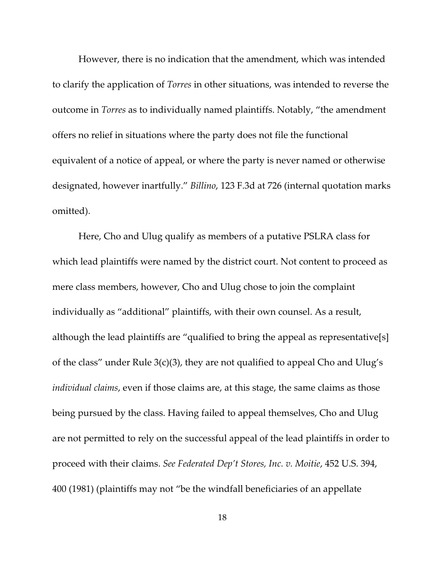However, there is no indication that the amendment, which was intended to clarify the application of *Torres* in other situations, was intended to reverse the outcome in *Torres* as to individually named plaintiffs. Notably, "the amendment offers no relief in situations where the party does not file the functional equivalent of a notice of appeal, or where the party is never named or otherwise designated, however inartfully." *Billino*, 123 F.3d at 726 (internal quotation marks omitted).

Here, Cho and Ulug qualify as members of a putative PSLRA class for which lead plaintiffs were named by the district court. Not content to proceed as mere class members, however, Cho and Ulug chose to join the complaint individually as "additional" plaintiffs, with their own counsel. As a result, although the lead plaintiffs are "qualified to bring the appeal as representative[s] of the class" under Rule 3(c)(3), they are not qualified to appeal Cho and Ulug's *individual claims*, even if those claims are, at this stage, the same claims as those being pursued by the class. Having failed to appeal themselves, Cho and Ulug are not permitted to rely on the successful appeal of the lead plaintiffs in order to proceed with their claims. *See Federated Dep't Stores, Inc. v. Moitie*, 452 U.S. 394, 400 (1981) (plaintiffs may not "be the windfall beneficiaries of an appellate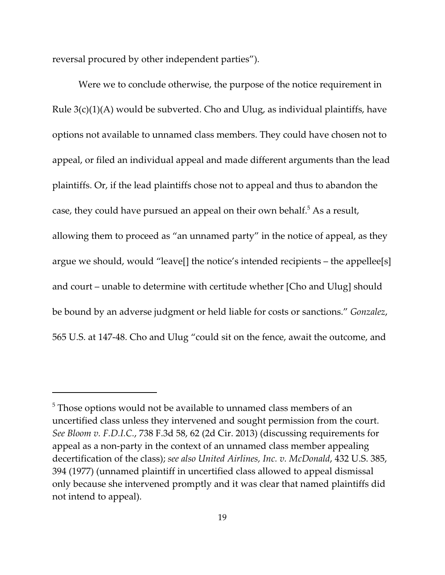reversal procured by other independent parties").

Were we to conclude otherwise, the purpose of the notice requirement in Rule 3(c)(1)(A) would be subverted. Cho and Ulug, as individual plaintiffs, have options not available to unnamed class members. They could have chosen not to appeal, or filed an individual appeal and made different arguments than the lead plaintiffs. Or, if the lead plaintiffs chose not to appeal and thus to abandon the case, they could have pursued an appeal on their own behalf. $^5$  As a result, allowing them to proceed as "an unnamed party" in the notice of appeal, as they argue we should, would "leave[] the notice's intended recipients – the appellee[s] and court – unable to determine with certitude whether [Cho and Ulug] should be bound by an adverse judgment or held liable for costs or sanctions." *Gonzalez*, 565 U.S. at 147-48. Cho and Ulug "could sit on the fence, await the outcome, and

 $5$  Those options would not be available to unnamed class members of an uncertified class unless they intervened and sought permission from the court. *See Bloom v. F.D.I.C.*, 738 F.3d 58, 62 (2d Cir. 2013) (discussing requirements for appeal as a non-party in the context of an unnamed class member appealing decertification of the class); *see also United Airlines, Inc. v. McDonald*, 432 U.S. 385, 394 (1977) (unnamed plaintiff in uncertified class allowed to appeal dismissal only because she intervened promptly and it was clear that named plaintiffs did not intend to appeal).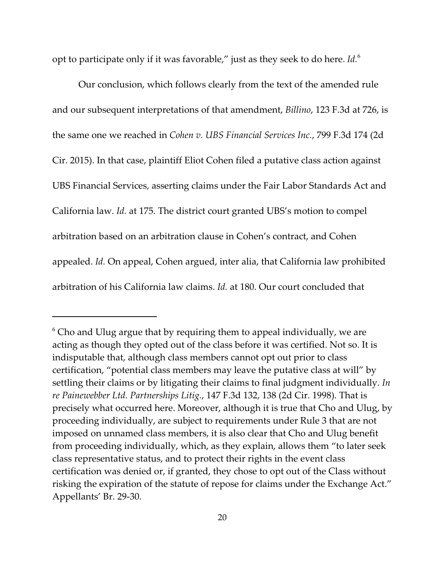opt to participate only if it was favorable," just as they seek to do here. *Id.*<sup>6</sup>

Our conclusion, which follows clearly from the text of the amended rule and our subsequent interpretations of that amendment, *Billino*, 123 F.3d at 726, is the same one we reached in *Cohen v. UBS Financial Services Inc.*, 799 F.3d 174 (2d Cir. 2015). In that case, plaintiff Eliot Cohen filed a putative class action against UBS Financial Services, asserting claims under the Fair Labor Standards Act and California law. *Id.* at 175. The district court granted UBS's motion to compel arbitration based on an arbitration clause in Cohen's contract, and Cohen appealed. *Id.* On appeal, Cohen argued, inter alia, that California law prohibited arbitration of his California law claims. *Id.* at 180. Our court concluded that

 $^6$  Cho and Ulug argue that by requiring them to appeal individually, we are acting as though they opted out of the class before it was certified. Not so. It is indisputable that, although class members cannot opt out prior to class certification, "potential class members may leave the putative class at will" by settling their claims or by litigating their claims to final judgment individually. *In re Painewebber Ltd. Partnerships Litig.*, 147 F.3d 132, 138 (2d Cir. 1998). That is precisely what occurred here. Moreover, although it is true that Cho and Ulug, by proceeding individually, are subject to requirements under Rule 3 that are not imposed on unnamed class members, it is also clear that Cho and Ulug benefit from proceeding individually, which, as they explain, allows them "to later seek class representative status, and to protect their rights in the event class certification was denied or, if granted, they chose to opt out of the Class without risking the expiration of the statute of repose for claims under the Exchange Act." Appellants' Br. 29-30.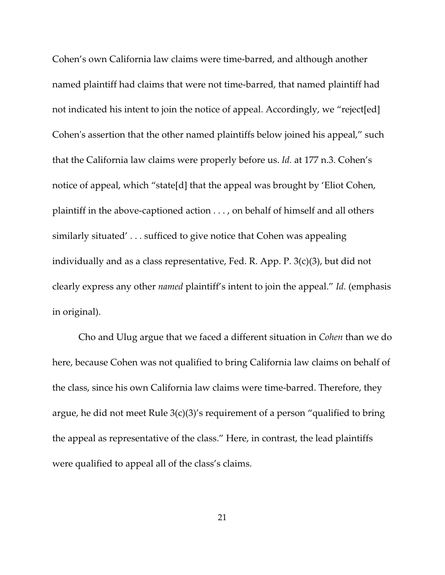Cohen's own California law claims were time-barred, and although another named plaintiff had claims that were not time-barred, that named plaintiff had not indicated his intent to join the notice of appeal. Accordingly, we "reject[ed] Cohen's assertion that the other named plaintiffs below joined his appeal," such that the California law claims were properly before us. *Id.* at 177 n.3. Cohen's notice of appeal, which "state[d] that the appeal was brought by 'Eliot Cohen, plaintiff in the above-captioned action . . . , on behalf of himself and all others similarly situated' . . . sufficed to give notice that Cohen was appealing individually and as a class representative, Fed. R. App. P. 3(c)(3), but did not clearly express any other *named* plaintiff's intent to join the appeal." *Id.* (emphasis in original).

Cho and Ulug argue that we faced a different situation in *Cohen* than we do here, because Cohen was not qualified to bring California law claims on behalf of the class, since his own California law claims were time-barred. Therefore, they argue, he did not meet Rule 3(c)(3)'s requirement of a person "qualified to bring the appeal as representative of the class." Here, in contrast, the lead plaintiffs were qualified to appeal all of the class's claims.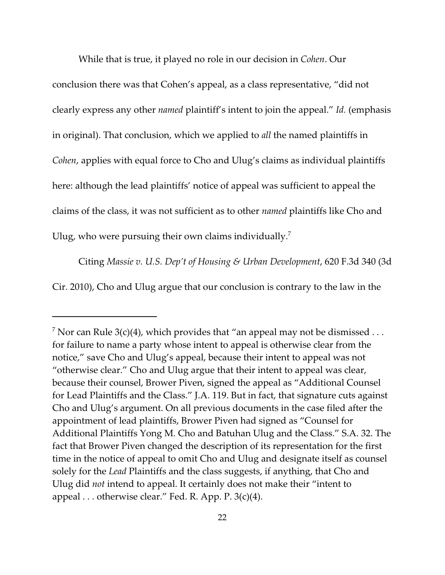While that is true, it played no role in our decision in *Cohen*. Our conclusion there was that Cohen's appeal, as a class representative, "did not clearly express any other *named* plaintiff's intent to join the appeal." *Id.* (emphasis in original). That conclusion, which we applied to *all* the named plaintiffs in *Cohen*, applies with equal force to Cho and Ulug's claims as individual plaintiffs here: although the lead plaintiffs' notice of appeal was sufficient to appeal the claims of the class, it was not sufficient as to other *named* plaintiffs like Cho and Ulug, who were pursuing their own claims individually.<sup>7</sup>

Citing *Massie v. U.S. Dep't of Housing & Urban Development*, 620 F.3d 340 (3d Cir. 2010), Cho and Ulug argue that our conclusion is contrary to the law in the

 $^7$  Nor can Rule 3(c)(4), which provides that "an appeal may not be dismissed  $\ldots$ for failure to name a party whose intent to appeal is otherwise clear from the notice," save Cho and Ulug's appeal, because their intent to appeal was not "otherwise clear." Cho and Ulug argue that their intent to appeal was clear, because their counsel, Brower Piven, signed the appeal as "Additional Counsel for Lead Plaintiffs and the Class." J.A. 119. But in fact, that signature cuts against Cho and Ulug's argument. On all previous documents in the case filed after the appointment of lead plaintiffs, Brower Piven had signed as "Counsel for Additional Plaintiffs Yong M. Cho and Batuhan Ulug and the Class." S.A. 32. The fact that Brower Piven changed the description of its representation for the first time in the notice of appeal to omit Cho and Ulug and designate itself as counsel solely for the *Lead* Plaintiffs and the class suggests, if anything, that Cho and Ulug did *not* intend to appeal. It certainly does not make their "intent to appeal  $\ldots$  otherwise clear." Fed. R. App. P. 3(c)(4).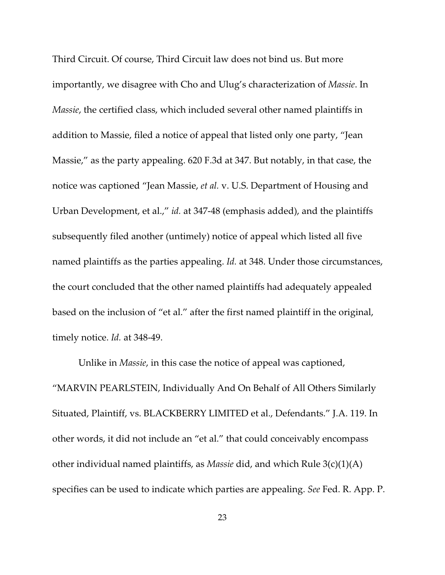Third Circuit. Of course, Third Circuit law does not bind us. But more importantly, we disagree with Cho and Ulug's characterization of *Massie*. In *Massie*, the certified class, which included several other named plaintiffs in addition to Massie, filed a notice of appeal that listed only one party, "Jean Massie," as the party appealing. 620 F.3d at 347. But notably, in that case, the notice was captioned "Jean Massie, *et al.* v. U.S. Department of Housing and Urban Development, et al.," *id.* at 347-48 (emphasis added), and the plaintiffs subsequently filed another (untimely) notice of appeal which listed all five named plaintiffs as the parties appealing. *Id.* at 348. Under those circumstances, the court concluded that the other named plaintiffs had adequately appealed based on the inclusion of "et al." after the first named plaintiff in the original, timely notice. *Id.* at 348-49.

Unlike in *Massie*, in this case the notice of appeal was captioned, "MARVIN PEARLSTEIN, Individually And On Behalf of All Others Similarly Situated, Plaintiff, vs. BLACKBERRY LIMITED et al., Defendants." J.A. 119. In other words, it did not include an "et al." that could conceivably encompass other individual named plaintiffs, as *Massie* did, and which Rule 3(c)(1)(A) specifies can be used to indicate which parties are appealing. *See* Fed. R. App. P.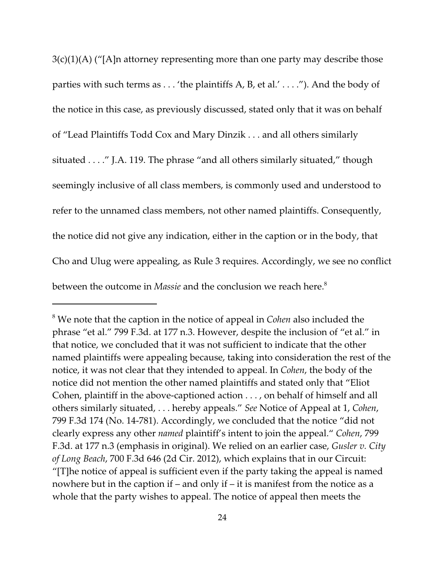$3(c)(1)(A)$  ("[A]n attorney representing more than one party may describe those parties with such terms as . . . 'the plaintiffs A, B, et al.' . . . ."). And the body of the notice in this case, as previously discussed, stated only that it was on behalf of "Lead Plaintiffs Todd Cox and Mary Dinzik . . . and all others similarly situated . . . ." J.A. 119. The phrase "and all others similarly situated," though seemingly inclusive of all class members, is commonly used and understood to refer to the unnamed class members, not other named plaintiffs. Consequently, the notice did not give any indication, either in the caption or in the body, that Cho and Ulug were appealing, as Rule 3 requires. Accordingly, we see no conflict between the outcome in *Massie* and the conclusion we reach here.<sup>8</sup>

<sup>8</sup> We note that the caption in the notice of appeal in *Cohen* also included the phrase "et al." 799 F.3d. at 177 n.3. However, despite the inclusion of "et al." in that notice, we concluded that it was not sufficient to indicate that the other named plaintiffs were appealing because, taking into consideration the rest of the notice, it was not clear that they intended to appeal. In *Cohen*, the body of the notice did not mention the other named plaintiffs and stated only that "Eliot Cohen, plaintiff in the above-captioned action . . . , on behalf of himself and all others similarly situated, . . . hereby appeals." *See* Notice of Appeal at 1, *Cohen*, 799 F.3d 174 (No. 14-781). Accordingly, we concluded that the notice "did not clearly express any other *named* plaintiff's intent to join the appeal." *Cohen*, 799 F.3d. at 177 n.3 (emphasis in original). We relied on an earlier case, *Gusler v. City of Long Beach*, 700 F.3d 646 (2d Cir. 2012), which explains that in our Circuit: "[T]he notice of appeal is sufficient even if the party taking the appeal is named nowhere but in the caption if – and only if – it is manifest from the notice as a whole that the party wishes to appeal. The notice of appeal then meets the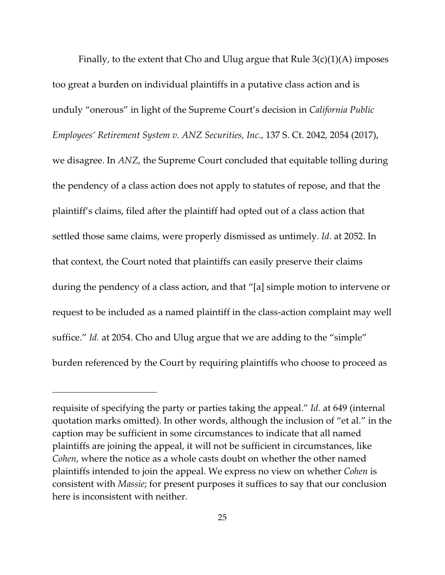Finally, to the extent that Cho and Ulug argue that Rule  $3(c)(1)(A)$  imposes too great a burden on individual plaintiffs in a putative class action and is unduly "onerous" in light of the Supreme Court's decision in *California Public Employees' Retirement System v. ANZ Securities, Inc.*, 137 S. Ct. 2042, 2054 (2017), we disagree. In *ANZ*, the Supreme Court concluded that equitable tolling during the pendency of a class action does not apply to statutes of repose, and that the plaintiff's claims, filed after the plaintiff had opted out of a class action that settled those same claims, were properly dismissed as untimely. *Id.* at 2052. In that context, the Court noted that plaintiffs can easily preserve their claims during the pendency of a class action, and that "[a] simple motion to intervene or request to be included as a named plaintiff in the class-action complaint may well suffice." *Id.* at 2054. Cho and Ulug argue that we are adding to the "simple" burden referenced by the Court by requiring plaintiffs who choose to proceed as

requisite of specifying the party or parties taking the appeal." *Id.* at 649 (internal quotation marks omitted). In other words, although the inclusion of "et al." in the caption may be sufficient in some circumstances to indicate that all named plaintiffs are joining the appeal, it will not be sufficient in circumstances, like *Cohen*, where the notice as a whole casts doubt on whether the other named plaintiffs intended to join the appeal. We express no view on whether *Cohen* is consistent with *Massie*; for present purposes it suffices to say that our conclusion here is inconsistent with neither.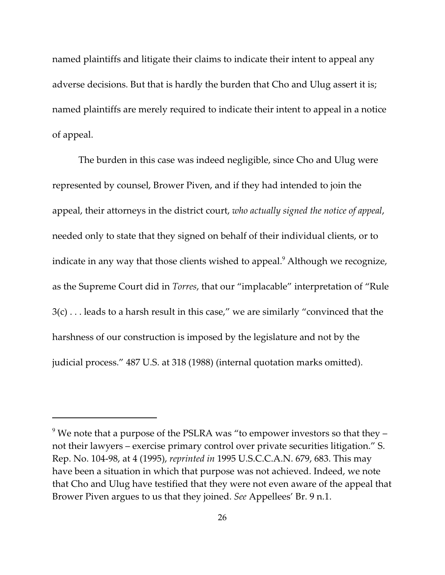named plaintiffs and litigate their claims to indicate their intent to appeal any adverse decisions. But that is hardly the burden that Cho and Ulug assert it is; named plaintiffs are merely required to indicate their intent to appeal in a notice of appeal.

The burden in this case was indeed negligible, since Cho and Ulug were represented by counsel, Brower Piven, and if they had intended to join the appeal, their attorneys in the district court, *who actually signed the notice of appeal*, needed only to state that they signed on behalf of their individual clients, or to indicate in any way that those clients wished to appeal.<sup>9</sup> Although we recognize, as the Supreme Court did in *Torres*, that our "implacable" interpretation of "Rule 3(c) . . . leads to a harsh result in this case," we are similarly "convinced that the harshness of our construction is imposed by the legislature and not by the judicial process." 487 U.S. at 318 (1988) (internal quotation marks omitted).

 $^9$  We note that a purpose of the PSLRA was "to empower investors so that they – not their lawyers – exercise primary control over private securities litigation." S. Rep. No. 104-98, at 4 (1995), *reprinted in* 1995 U.S.C.C.A.N. 679, 683. This may have been a situation in which that purpose was not achieved. Indeed, we note that Cho and Ulug have testified that they were not even aware of the appeal that Brower Piven argues to us that they joined. *See* Appellees' Br. 9 n.1.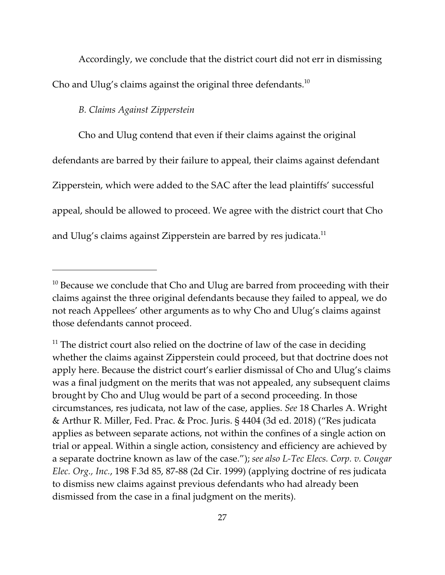Accordingly, we conclude that the district court did not err in dismissing Cho and Ulug's claims against the original three defendants. $10$ 

*B. Claims Against Zipperstein*

Cho and Ulug contend that even if their claims against the original defendants are barred by their failure to appeal, their claims against defendant Zipperstein, which were added to the SAC after the lead plaintiffs' successful appeal, should be allowed to proceed. We agree with the district court that Cho and Ulug's claims against Zipperstein are barred by res judicata.<sup>11</sup>

 $^{\rm 10}$  Because we conclude that Cho and Ulug are barred from proceeding with their claims against the three original defendants because they failed to appeal, we do not reach Appellees' other arguments as to why Cho and Ulug's claims against those defendants cannot proceed.

 $11$  The district court also relied on the doctrine of law of the case in deciding whether the claims against Zipperstein could proceed, but that doctrine does not apply here. Because the district court's earlier dismissal of Cho and Ulug's claims was a final judgment on the merits that was not appealed, any subsequent claims brought by Cho and Ulug would be part of a second proceeding. In those circumstances, res judicata, not law of the case, applies. *See* 18 Charles A. Wright & Arthur R. Miller, Fed. Prac. & Proc. Juris. § 4404 (3d ed. 2018) ("Res judicata applies as between separate actions, not within the confines of a single action on trial or appeal. Within a single action, consistency and efficiency are achieved by a separate doctrine known as law of the case."); *see also L-Tec Elecs. Corp. v. Cougar Elec. Org., Inc.*, 198 F.3d 85, 87-88 (2d Cir. 1999) (applying doctrine of res judicata to dismiss new claims against previous defendants who had already been dismissed from the case in a final judgment on the merits).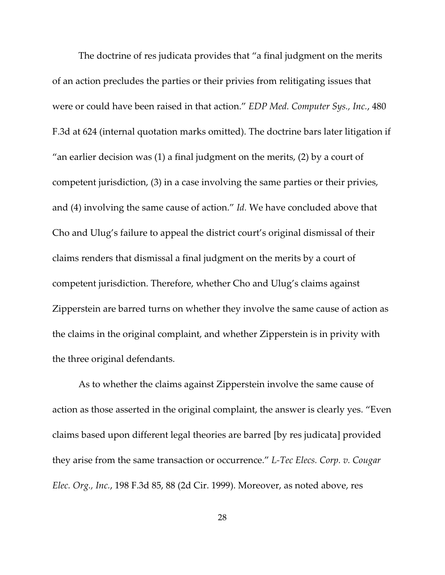The doctrine of res judicata provides that "a final judgment on the merits of an action precludes the parties or their privies from relitigating issues that were or could have been raised in that action." *EDP Med. Computer Sys., Inc.*, 480 F.3d at 624 (internal quotation marks omitted). The doctrine bars later litigation if "an earlier decision was (1) a final judgment on the merits, (2) by a court of competent jurisdiction, (3) in a case involving the same parties or their privies, and (4) involving the same cause of action." *Id.* We have concluded above that Cho and Ulug's failure to appeal the district court's original dismissal of their claims renders that dismissal a final judgment on the merits by a court of competent jurisdiction. Therefore, whether Cho and Ulug's claims against Zipperstein are barred turns on whether they involve the same cause of action as the claims in the original complaint, and whether Zipperstein is in privity with the three original defendants.

As to whether the claims against Zipperstein involve the same cause of action as those asserted in the original complaint, the answer is clearly yes. "Even claims based upon different legal theories are barred [by res judicata] provided they arise from the same transaction or occurrence." *L-Tec Elecs. Corp. v. Cougar Elec. Org., Inc.*, 198 F.3d 85, 88 (2d Cir. 1999). Moreover, as noted above, res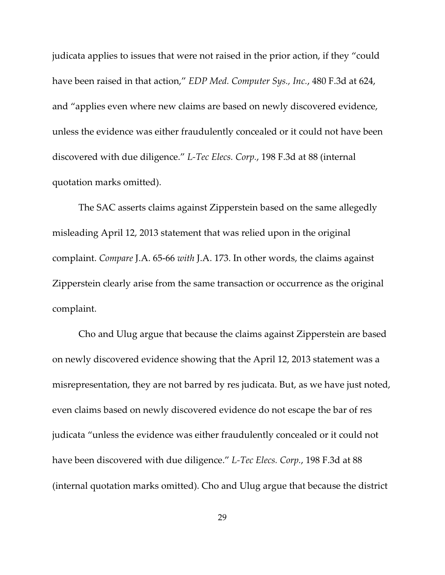judicata applies to issues that were not raised in the prior action, if they "could have been raised in that action," *EDP Med. Computer Sys., Inc.*, 480 F.3d at 624, and "applies even where new claims are based on newly discovered evidence, unless the evidence was either fraudulently concealed or it could not have been discovered with due diligence." *L-Tec Elecs. Corp.*, 198 F.3d at 88 (internal quotation marks omitted).

The SAC asserts claims against Zipperstein based on the same allegedly misleading April 12, 2013 statement that was relied upon in the original complaint. *Compare* J.A. 65-66 *with* J.A. 173. In other words, the claims against Zipperstein clearly arise from the same transaction or occurrence as the original complaint.

Cho and Ulug argue that because the claims against Zipperstein are based on newly discovered evidence showing that the April 12, 2013 statement was a misrepresentation, they are not barred by res judicata. But, as we have just noted, even claims based on newly discovered evidence do not escape the bar of res judicata "unless the evidence was either fraudulently concealed or it could not have been discovered with due diligence." *L-Tec Elecs. Corp.*, 198 F.3d at 88 (internal quotation marks omitted). Cho and Ulug argue that because the district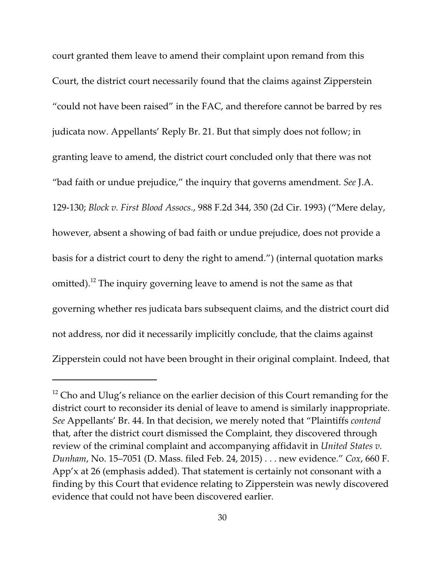court granted them leave to amend their complaint upon remand from this Court, the district court necessarily found that the claims against Zipperstein "could not have been raised" in the FAC, and therefore cannot be barred by res judicata now. Appellants' Reply Br. 21. But that simply does not follow; in granting leave to amend, the district court concluded only that there was not "bad faith or undue prejudice," the inquiry that governs amendment. *See* J.A. 129-130; *Block v. First Blood Assocs.*, 988 F.2d 344, 350 (2d Cir. 1993) ("Mere delay, however, absent a showing of bad faith or undue prejudice, does not provide a basis for a district court to deny the right to amend.") (internal quotation marks omitted).<sup>12</sup> The inquiry governing leave to amend is not the same as that governing whether res judicata bars subsequent claims, and the district court did not address, nor did it necessarily implicitly conclude, that the claims against Zipperstein could not have been brought in their original complaint. Indeed, that

 $^{12}$  Cho and Ulug's reliance on the earlier decision of this Court remanding for the district court to reconsider its denial of leave to amend is similarly inappropriate. *See* Appellants' Br. 44. In that decision, we merely noted that "Plaintiffs *contend* that, after the district court dismissed the Complaint, they discovered through review of the criminal complaint and accompanying affidavit in *United States v. Dunham*, No. 15–7051 (D. Mass. filed Feb. 24, 2015) . . . new evidence." *Cox*, 660 F. App'x at 26 (emphasis added). That statement is certainly not consonant with a finding by this Court that evidence relating to Zipperstein was newly discovered evidence that could not have been discovered earlier.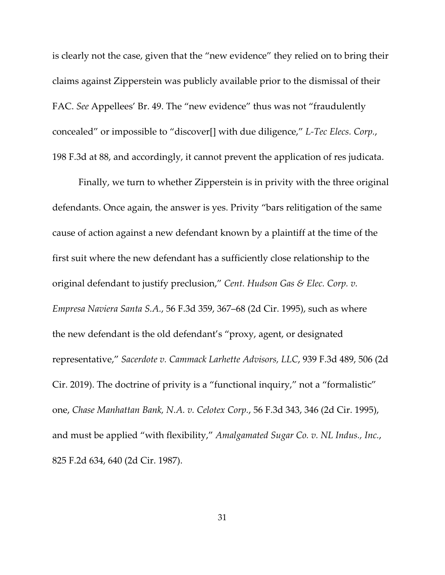is clearly not the case, given that the "new evidence" they relied on to bring their claims against Zipperstein was publicly available prior to the dismissal of their FAC. *See* Appellees' Br. 49. The "new evidence" thus was not "fraudulently concealed" or impossible to "discover[] with due diligence," *L-Tec Elecs. Corp.*, 198 F.3d at 88, and accordingly, it cannot prevent the application of res judicata.

Finally, we turn to whether Zipperstein is in privity with the three original defendants. Once again, the answer is yes. Privity "bars relitigation of the same cause of action against a new defendant known by a plaintiff at the time of the first suit where the new defendant has a sufficiently close relationship to the original defendant to justify preclusion," *Cent. Hudson Gas & Elec. Corp. v. Empresa Naviera Santa S.A.*, 56 F.3d 359, 367–68 (2d Cir. 1995), such as where the new defendant is the old defendant's "proxy, agent, or designated representative," *Sacerdote v. Cammack Larhette Advisors, LLC*, 939 F.3d 489, 506 (2d Cir. 2019). The doctrine of privity is a "functional inquiry," not a "formalistic" one, *Chase Manhattan Bank, N.A. v. Celotex Corp.*, 56 F.3d 343, 346 (2d Cir. 1995), and must be applied "with flexibility," *Amalgamated Sugar Co. v. NL Indus., Inc.*, 825 F.2d 634, 640 (2d Cir. 1987).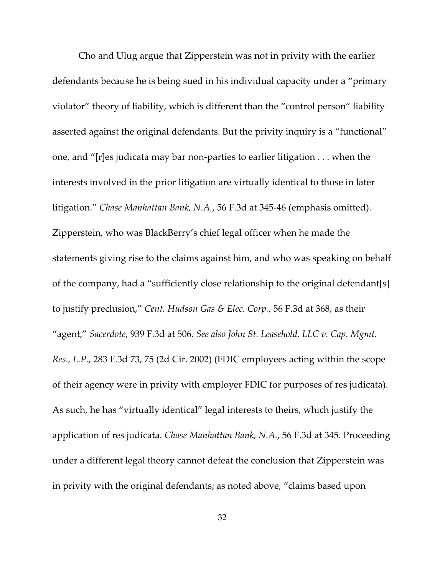Cho and Ulug argue that Zipperstein was not in privity with the earlier defendants because he is being sued in his individual capacity under a "primary violator" theory of liability, which is different than the "control person" liability asserted against the original defendants. But the privity inquiry is a "functional" one, and "[r]es judicata may bar non-parties to earlier litigation . . . when the interests involved in the prior litigation are virtually identical to those in later litigation." *Chase Manhattan Bank, N.A.*, 56 F.3d at 345-46 (emphasis omitted). Zipperstein, who was BlackBerry's chief legal officer when he made the statements giving rise to the claims against him, and who was speaking on behalf of the company, had a "sufficiently close relationship to the original defendant[s] to justify preclusion," *Cent. Hudson Gas & Elec. Corp.*, 56 F.3d at 368, as their "agent," *Sacerdote*, 939 F.3d at 506. *See also John St. Leasehold, LLC v. Cap. Mgmt. Res., L.P.*, 283 F.3d 73, 75 (2d Cir. 2002) (FDIC employees acting within the scope of their agency were in privity with employer FDIC for purposes of res judicata). As such, he has "virtually identical" legal interests to theirs, which justify the application of res judicata. *Chase Manhattan Bank, N.A.*, 56 F.3d at 345. Proceeding under a different legal theory cannot defeat the conclusion that Zipperstein was in privity with the original defendants; as noted above, "claims based upon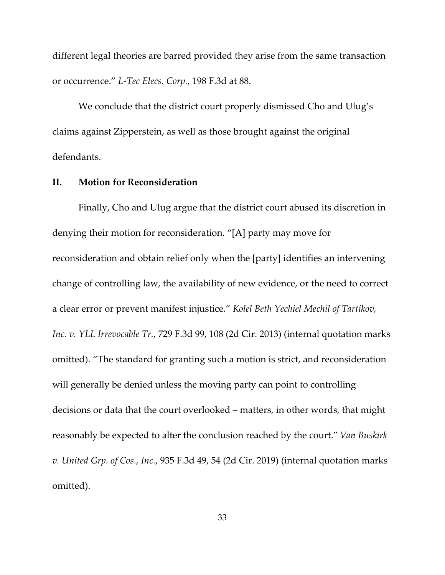different legal theories are barred provided they arise from the same transaction or occurrence." *L-Tec Elecs. Corp.*, 198 F.3d at 88.

We conclude that the district court properly dismissed Cho and Ulug's claims against Zipperstein, as well as those brought against the original defendants.

# **II. Motion for Reconsideration**

Finally, Cho and Ulug argue that the district court abused its discretion in denying their motion for reconsideration. "[A] party may move for reconsideration and obtain relief only when the [party] identifies an intervening change of controlling law, the availability of new evidence, or the need to correct a clear error or prevent manifest injustice." *Kolel Beth Yechiel Mechil of Tartikov, Inc. v. YLL Irrevocable Tr.*, 729 F.3d 99, 108 (2d Cir. 2013) (internal quotation marks omitted). "The standard for granting such a motion is strict, and reconsideration will generally be denied unless the moving party can point to controlling decisions or data that the court overlooked – matters, in other words, that might reasonably be expected to alter the conclusion reached by the court." *Van Buskirk v. United Grp. of Cos., Inc.*, 935 F.3d 49, 54 (2d Cir. 2019) (internal quotation marks omitted).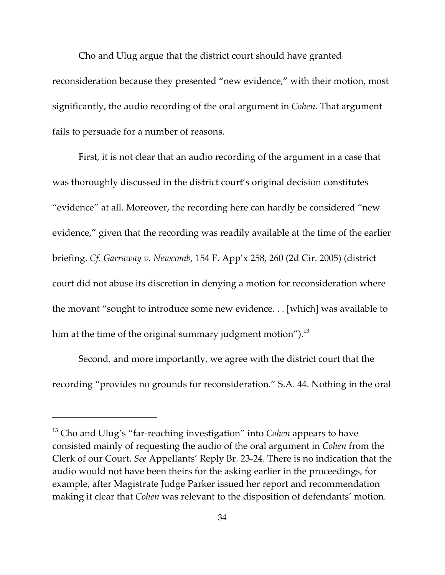Cho and Ulug argue that the district court should have granted reconsideration because they presented "new evidence," with their motion, most significantly, the audio recording of the oral argument in *Cohen*. That argument fails to persuade for a number of reasons.

First, it is not clear that an audio recording of the argument in a case that was thoroughly discussed in the district court's original decision constitutes "evidence" at all. Moreover, the recording here can hardly be considered "new evidence," given that the recording was readily available at the time of the earlier briefing. *Cf. Garraway v. Newcomb,* 154 F. App'x 258, 260 (2d Cir. 2005) (district court did not abuse its discretion in denying a motion for reconsideration where the movant "sought to introduce some new evidence. . . [which] was available to him at the time of the original summary judgment motion").<sup>13</sup>

Second, and more importantly, we agree with the district court that the recording "provides no grounds for reconsideration." S.A. 44. Nothing in the oral

<sup>&</sup>lt;sup>13</sup> Cho and Ulug's "far-reaching investigation" into *Cohen* appears to have consisted mainly of requesting the audio of the oral argument in *Cohen* from the Clerk of our Court. *See* Appellants' Reply Br. 23-24. There is no indication that the audio would not have been theirs for the asking earlier in the proceedings, for example, after Magistrate Judge Parker issued her report and recommendation making it clear that *Cohen* was relevant to the disposition of defendants' motion.